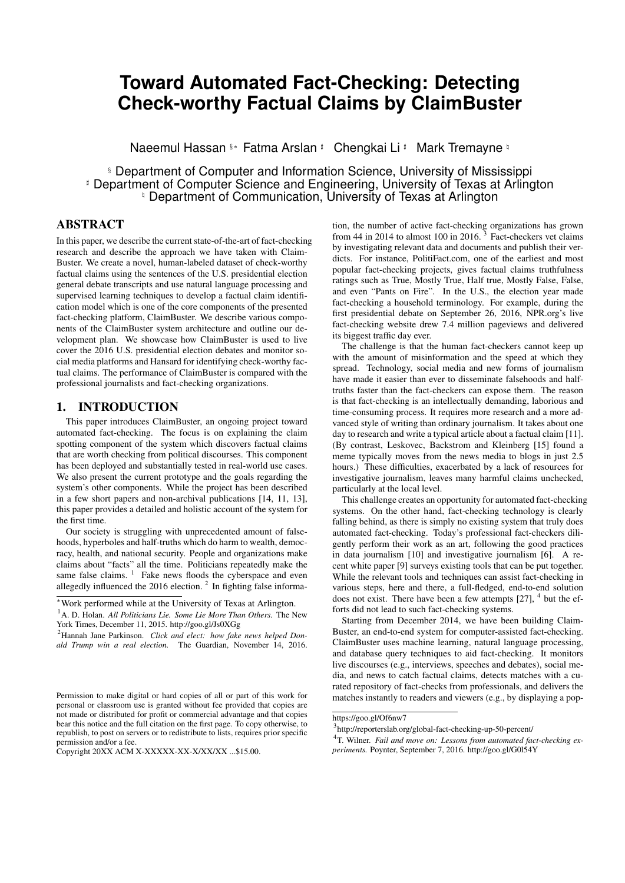# **Toward Automated Fact-Checking: Detecting Check-worthy Factual Claims by ClaimBuster**

Naeemul Hassan §∗ Fatma Arslan # Chengkai Li # Mark Tremayne ¤

§ Department of Computer and Information Science, University of Mississippi **Department of Computer Science and Engineering, University of Texas at Arlington** <sup>\*</sup> Department of Communication, University of Texas at Arlington

# ABSTRACT

In this paper, we describe the current state-of-the-art of fact-checking research and describe the approach we have taken with Claim-Buster. We create a novel, human-labeled dataset of check-worthy factual claims using the sentences of the U.S. presidential election general debate transcripts and use natural language processing and supervised learning techniques to develop a factual claim identification model which is one of the core components of the presented fact-checking platform, ClaimBuster. We describe various components of the ClaimBuster system architecture and outline our development plan. We showcase how ClaimBuster is used to live cover the 2016 U.S. presidential election debates and monitor social media platforms and Hansard for identifying check-worthy factual claims. The performance of ClaimBuster is compared with the professional journalists and fact-checking organizations.

## 1. INTRODUCTION

This paper introduces ClaimBuster, an ongoing project toward automated fact-checking. The focus is on explaining the claim spotting component of the system which discovers factual claims that are worth checking from political discourses. This component has been deployed and substantially tested in real-world use cases. We also present the current prototype and the goals regarding the system's other components. While the project has been described in a few short papers and non-archival publications [14, 11, 13], this paper provides a detailed and holistic account of the system for the first time.

Our society is struggling with unprecedented amount of falsehoods, hyperboles and half-truths which do harm to wealth, democracy, health, and national security. People and organizations make claims about "facts" all the time. Politicians repeatedly make the same false claims. <sup>1</sup> Fake news floods the cyberspace and even allegedly influenced the 2016 election.<sup>2</sup> In fighting false information, the number of active fact-checking organizations has grown from 44 in 2014 to almost 100 in 2016.<sup>3</sup> Fact-checkers vet claims by investigating relevant data and documents and publish their verdicts. For instance, PolitiFact.com, one of the earliest and most popular fact-checking projects, gives factual claims truthfulness ratings such as True, Mostly True, Half true, Mostly False, False, and even "Pants on Fire". In the U.S., the election year made fact-checking a household terminology. For example, during the first presidential debate on September 26, 2016, NPR.org's live fact-checking website drew 7.4 million pageviews and delivered its biggest traffic day ever.

The challenge is that the human fact-checkers cannot keep up with the amount of misinformation and the speed at which they spread. Technology, social media and new forms of journalism have made it easier than ever to disseminate falsehoods and halftruths faster than the fact-checkers can expose them. The reason is that fact-checking is an intellectually demanding, laborious and time-consuming process. It requires more research and a more advanced style of writing than ordinary journalism. It takes about one day to research and write a typical article about a factual claim [11]. (By contrast, Leskovec, Backstrom and Kleinberg [15] found a meme typically moves from the news media to blogs in just 2.5 hours.) These difficulties, exacerbated by a lack of resources for investigative journalism, leaves many harmful claims unchecked, particularly at the local level.

This challenge creates an opportunity for automated fact-checking systems. On the other hand, fact-checking technology is clearly falling behind, as there is simply no existing system that truly does automated fact-checking. Today's professional fact-checkers diligently perform their work as an art, following the good practices in data journalism [10] and investigative journalism [6]. A recent white paper [9] surveys existing tools that can be put together. While the relevant tools and techniques can assist fact-checking in various steps, here and there, a full-fledged, end-to-end solution does not exist. There have been a few attempts  $[27]$ , <sup>4</sup> but the efforts did not lead to such fact-checking systems.

Starting from December 2014, we have been building Claim-Buster, an end-to-end system for computer-assisted fact-checking. ClaimBuster uses machine learning, natural language processing, and database query techniques to aid fact-checking. It monitors live discourses (e.g., interviews, speeches and debates), social media, and news to catch factual claims, detects matches with a curated repository of fact-checks from professionals, and delivers the matches instantly to readers and viewers (e.g., by displaying a pop-

<sup>∗</sup>Work performed while at the University of Texas at Arlington.

<sup>&</sup>lt;sup>1</sup>A. D. Holan. *All Politicians Lie. Some Lie More Than Others*. The New York Times, December 11, 2015. http://goo.gl/Js0XGg

<sup>2</sup>Hannah Jane Parkinson. *Click and elect: how fake news helped Donald Trump win a real election.* The Guardian, November 14, 2016.

Permission to make digital or hard copies of all or part of this work for personal or classroom use is granted without fee provided that copies are not made or distributed for profit or commercial advantage and that copies bear this notice and the full citation on the first page. To copy otherwise, to republish, to post on servers or to redistribute to lists, requires prior specific permission and/or a fee.

Copyright 20XX ACM X-XXXXX-XX-X/XX/XX ...\$15.00.

https://goo.gl/Of6nw7

<sup>3</sup> http://reporterslab.org/global-fact-checking-up-50-percent/

<sup>&</sup>lt;sup>4</sup>T. Wilner. Fail and move on: Lessons from automated fact-checking ex*periments.* Poynter, September 7, 2016. http://goo.gl/G0l54Y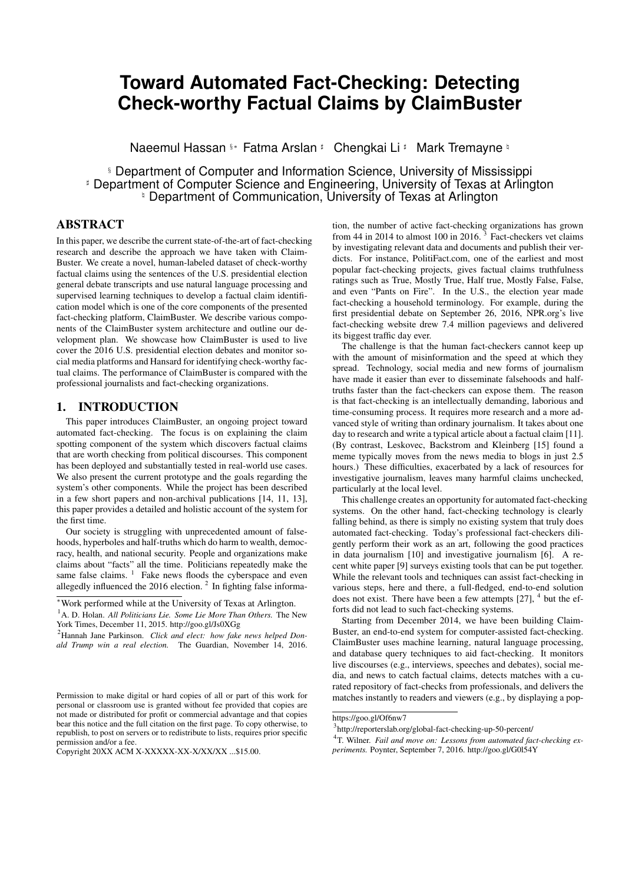up warning if a presidential candidate makes a false claim during a live debate). For various types of new claims not checked before, ClaimBuster automatically translates them into queries against knowledge databases and reports whether they check out. For claims where humans must be brought into the loop, ClaimBuster provides algorithmic and computational tools to assist lay persons and professionals in understanding and verifying the claims. Its use will be expanded to verify both political and non-political claims in many types of narratives, discourses and documents such as sports news, legal documents, and financial reports.

ClaimBuster already produces true-or-false verdicts for certain types of factual claims. The development of the full-fledged system is still ongoing. A description of its current status is in Section 5 and a proposal for demonstration is being prepared [12]. In this paper, we focus on a key component of the system, claim spotting, which discovers factual claims that are worth checking. Given the plethora of discourses and narratives we are constantly exposed to, ClaimBuster gives each sentence a score that indicates how likely it contains an important factual claim that should be checked. This essentially provides a priority ranking that helps fact-checkers efficiently focus on the top-ranked sentences without painstakingly sifting through a large number of sentences. ClaimBuster's scorer was tested in real-time during the live coverage of all primary election and general election debates for the 2016 election. Closed captions of the debates on live TV broadcasts, captured by a decoding device, were fed to ClaimBuster, which immediately scored each sentence spoken by the candidates and posted top-scored claims to the project's website (idir.uta.edu/claimbuster) and Twitter account (@ClaimBusterTM). Post-hoc analysis of the claims checked by professional fact-checkers at CNN, PolitiFact.com and FactCheck.org reveals a highly positive correlation between ClaimBuster and journalism organizations in deciding which claims to check. Claim-Buster has also been continuously monitoring Twitter and retweeting the check-worthy factual claims it finds in people's tweets (see https://twitter.com/ClaimBusterTM). Recently it also started to monitor "Hansard" <sup>5</sup> – the transcripts of proceedings of the Australian parliament (idir.uta.edu/claimbuster/hansard).

The project has received wide recognition in the fact-checking community and substantial media coverage. <sup>6</sup> <sup>7 8</sup> <sup>9 10 11</sup> The aforementioned white paper calls ClaimBuster a tool with "the most advanced generalised automatic claim spotting." [9] Others considered it "perhaps the biggest development to date" in ranking claims <sup>12</sup> and "a pretty useful guide for journalists and those members of the public who wish to spend time using an algorithm to help find facts." 13

ClaimBuster, upon completion, is positioned to become the firstever end-to-end fact-checking system. It can benefit a large base of potential users. It directly benefits citizens and consumers by improving information accuracy and transparency. It helps news organizations speed their fact-checking process and also ensure the accuracy of their own news stories. Businesses can use ClaimBuster to identify falsehoods in their competitors' and their own reports and press releases. It can also assist professionals such as lawyers in verifying documents.

The organization of this paper is as follows. Section 2 discusses related work. Section 3 formulates the claim spotting problem as a classification and ranking task, explains the solution in Claim-Buster, and presents the evaluation results. Section 4 describes a case study– how ClaimBuster was used to cover the 2016 U.S. presidential election. Section 5 describes the architecture of Claim-Buster and the current status of other components of the system.

#### 2. RELATED WORK

In the last few years, several projects and startup companies attempted at building computer-assisted fact-checking systems [27]. Trooclick (http://storyzy.com/) aimed at fact-checking financial news by comparing IPO stories against SEC (Securities and Exchange Commission) filings. TruthTeller,  $14$  a project by Washington Post, detects claims in the speeches on TV and matches them against the fact-checks from Washington Post and other organizations. LazyTruth (http://www.lazytruth.com/) aimed at finding false claims in email chain letters. A few other projects take the crowdsourcing approach to fact-checking. Fiskkit (http://fiskkit.com/) operates a platform which allows users to break apart a news article and discuss the accuracy of its content piece by piece. Grasswire (https://www.grasswire.com/aboutus/) is, to some extent, the Wikipedia counterpart of news website. Their contributors, who are not necessarily journalists, collaborate in a Slack(https://slack.com/) channel in which they pitch, source, verity, write, and edit news stories. Truth Goggles, <sup>15</sup> initially aimed at automated fact-checking, is a tool that allows users to annotate web content for fact-checking.

Since most of these projects were never past proof-of-concept stage before they ceased operations, there is only limited available information. Nevertheless, it appears none of the projects takes the structured approach of ClaimBuster to model and understand factual claims themselves. None does algorithmic fact-checking. Truth Teller resembles the claim matching component of Claim-Buster, but it resorts to straightforward string matching instead of understanding the structure and semantics of claims. None of the projects developed the capability of spotting and ranking claims based on their check-worthiness.

There are several lines of academic research which are related to fact-checking. Vlachos and Riedel [25] analyzed the tasks in fact checking and presented a dataset of factual claims collected from *PolitiFact.com* and *Channel4.com*. *Rumor detection* aims at finding rumors in social media, by considering linguistic signals in the content of social media posts, signature text phrases in users' comments that express skepticism, how they were spread, as well as the credibility of the authors based on track record [20, 4, 8]. They do not resort to structured analysis of claims themselves. *Truth discovery* is concerned about the specific problem of detecting true facts from conflicting data sources [16]. They do not directly con-

<sup>5</sup>www.aph.gov.au/Parliamentary\_Business/Hansard

<sup>6</sup>G. Pogrund. *Post-truth v tech: could machines help us call out politicians' and journalists' lies?* newstatesman.com, August 17, 2016. http://goo.gl/eGf5DP

<sup>7</sup>C. Albeanu. *What would an automated future look like for verification in the newsroom?* journalism.co.uk, April 8, 2016. http://goo.gl/KKPgnK

<sup>8</sup> T. Walk-Morris. *The Future of Political Fact-Checking*, NiemanReports, March 23, 2016. http://goo.gl/syUdjv

<sup>9</sup>B. Mullin. *Knight Foundation backs 20 media projects with Prototype Fund.* Poynter, November 3, 2015. http://goo.gl/HsjJXq

<sup>10</sup>C. Silverman. *In search of fact checking's 'Holy Grail': News outlets might not get there alone.* First Draft, October 30, 2015. http://goo.gl/KFxBSz

<sup>11</sup>G. Selby. *Sifting balderdash from truth gets a boost from computers.* Austin American-Statesman, August 8, 2015. http://goo.gl/FCzY3c

<sup>12</sup>K. Moreland and B. Doerrfeld. *Automated Fact Checking: The Holy Grail of Political Communication.* Nordic APIs, February 25, 2016. http://goo.gl/uhsnyT

<sup>13</sup> P. Fray. *Is that a fact? Checking politicians' statements just got a whole*

*lot easier.* The Guardian, April 18, 2016. http://goo.gl/1UJfzU

<sup>14</sup>https://www.washingtonpost.com/news/ask-the-

post/wp/2013/09/25/announcing-truth-teller-beta-a-better-way-to-watchpolitical-speech/

<sup>15</sup>http://www.poynter.org/2014/truth-goggles-launches-as-an-annotationtool-for-journalists/256917/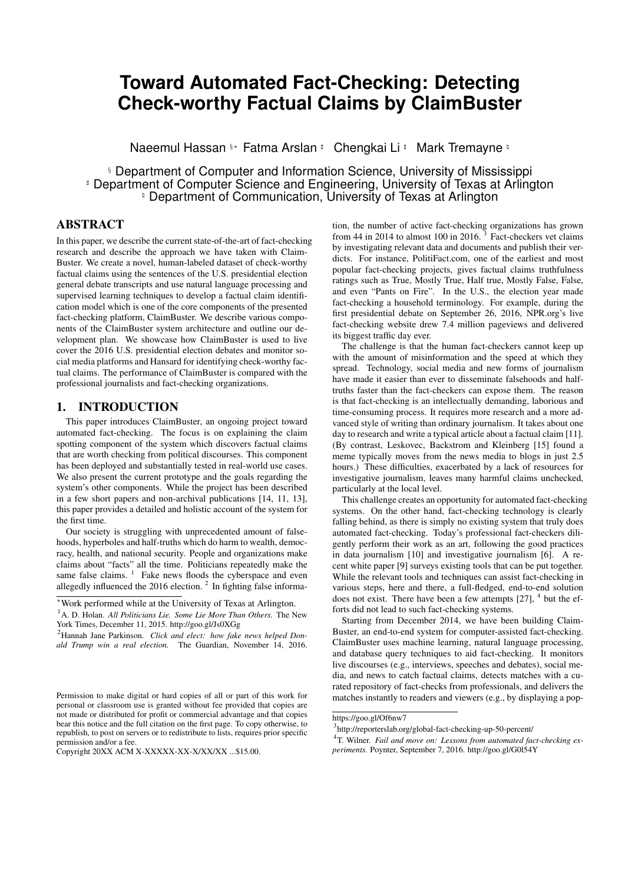sider factual claims. Instead, they assume the input of a collection of (contradicting) tuples that record the property values of objects. Ciampaglia et al. [5] proposed a method for fact-checking using knowledge graphs by finding the shortest path between entity nodes. Shi et al. [23] mine knowledge graphs to find missing links between entities. This approach, though more related to the general problem of *link prediction* [17, 7] than fact-checking, can potentially identify supporting evidence for facts that are not recorded in knowledge graphs. We note that none of the aforementioned works on truth discovery, link prediction, and fact-checking using knowledge graphs aims at an end-to-end system, as they do not directly cope with factual claims.

To the best of our knowledge, no prior study has focused on computational methods for detecting factual claims and discerning their importance. The most relevant line of work is subjectivity analysis of text (e.g., [28, 2, 26]) which classifies sentences into objective and subjective categories. However, not all objective sentences are check-worthy important factual claims. In Section 3.5, we present a comparison between subjectivity analysis and Claim-Buster of which the results demonstrate the inability of subjectivity identifiers in discerning factual claims.

# 3. CLAIM SPOTTING: CHECK-WORTHY FACTUAL CLAIMS DETECTION

We model the claim spotting problem as a classification and ranking task and we follow a supervised learning approach to address it. We constructed a labeled dataset of spoken sentences by presidential candidates during past presidential debates. Each sentence is given one of three possible labels–it is not a factual claim; it is an unimportant factual claim; it is an important factual claim. We trained and tested several multi-class classification models using the labeled dataset. Experiment results demonstrated the promising accuracy of the models. We further compared our model with existing subjectivity classifiers and demonstrated that subjectivity identifiers are incapable of discerning factual claims. ine greeches the model of the consideration of this presentation of the distribution of the showth of the consider the consider the model of the stance of the stance of the stance of the stance of the stance of the stance

## 3.1 Classification and Ranking

We categorize sentences in presidential debates into three categories:

Non-Factual Sentence (NFS): Subjective sentences (opinions, beliefs, declarations) and many questions fall under this category. These sentences do not contain any factual claim. Below are some examples.

*But I think it's time to talk about the future.*

*You remember the last time you said that?*

Unimportant Factual Sentence (UFS): These are factual claims but not check-worthy. The general public will not be interested in knowing whether these sentences are true or false. Fact-checkers do not find these sentences as important for checking. Some examples are as follows.

*Next Tuesday is Election day.*

*Two days ago we ate lunch at a restaurant.*

Check-worthy Factual Sentence (CFS): They contain factual claims and the general public will be interested in knowing whether the claims are true. Journalists look for these type of claims for factchecking. Some examples are:

*He voted against the first Gulf War.*

*Over a million and a quarter Americans are HIV-positive.*

Given a sentence, the objective of ClaimBuster's claim spotting is to derive a score that reflects the degree by which the sentence belongs to CFS. Many widely-used classification methods support





Figure 2: Data collection interface

(SVM). We treat CFSs as positive instances and both NFSs and UFSs as negative instances. SVM finds a decision boundary between the two types of training instances. Following Platt's scaling technique  $[19]$ , for a given sentence *x* to be classified, we calculate the posterior probability  $P(class=CFS/x)$  using SVM's decision function. The sentences are ranked by their probability scores.

#### 3.2 Data Labeling

We need to collect a labeled dataset which, for each sentence from the U.S. general election presidential debates, indicates its label among the three options [NFS, UFS, CFS]. Such a dataset does not exist. Our dataset, once completed and released, will be a valuable asset to the research community and practitioners.

Dataset The custom of organizing debates between U.S. presidential candidates before a general election started in 1960. There has been a total of 15 presidential elections from 1960 to 2012. Except 1964, 1968, and 1972 there have been debates before all the 12 remaining elections. The number of debates before an election varies from year to year; for example, there were two and three debates before 1988 and 2012 elections, respectively. We have collected the transcripts of all the debates occurred during 1960–2012. In total, there are 30 debates in these 11 election years. There are 28029 sentences in these transcripts. Using parsing rules and human annotation, we identified the speaker of each sentence. 23075 sentences are spoken by the presidential candidates and 4815 by the debate moderators. In our experiments, we concentrated on the 20788 sentences spoken by the candidates which are at least 5 words long. Figure 1 shows the distribution of sentences among the 30 debates.

Ground-truth Collection Website We developed a rich and controlled data collection website (idir-server2.uta.edu/classifyfact\_survey) to collect the ground-truth labels of the sentences. Figure 2 shows its interface. A participant is presented one sentence at a time. The sentence is randomly selected from the set of sentences not seen by the participant before. They can assign one of three possible labels [NFS, UFS, CFS] for the sentence. If the participant is not confident to assign a label for a sentence, they can skip it. It is also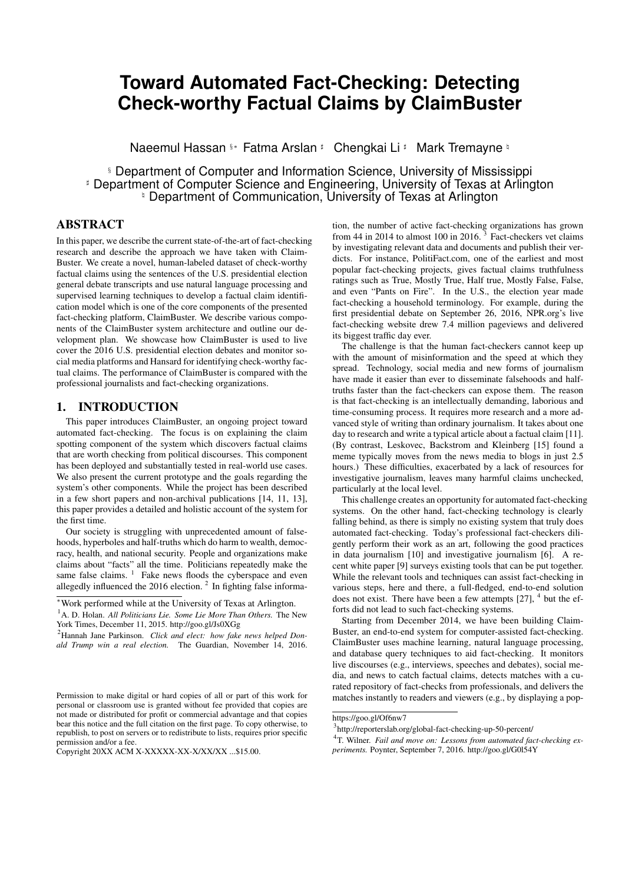possible to go back and modify previous responses.

With just the text of a sentence itself, it is sometimes difficult to determine its label. The interface has a "more context" button. When it is clicked, the system shows the four preceding sentences of the sentence in question which may help the participant understand its context. We observe that, about 14% of the time, participants chose to read the context before labeling a sentence.

Participant Recruitment and Training We recruited paid participants (mostly university students, professors and journalists who are aware of U.S. politics) using flyers, social media, and direct emails. We use 30 selected sentences to train all the participants. Every participant must go through all these 30 sentences at the very beginning. After they label a sentence, the website will immediately disclose its ground-truth label and explain it. Furthermore, we arranged multiple on-site training workshops for participants that were available. During each workshop, at least two experts were present to clear the doubts the participants may have about the data collection website and process. Through interviews with the participants, we observed that these training measures were important in helping the participants achieve high work quality.

We chose to not use crowdsourcing platforms such as Amazon Mechanical Turk and CrowdFlower, due to the complex nature of the task and its requirement for a participant to have basic knowledge about U.S. politics. We will not be able to run the on-site training workshops for the participants on such platforms. We indeed performed a pilot run on CrowdFlower with a small dataset and we were not impressed by the quality of the collected data. It will be interesting to conduct a thorough comparison with the data collection approach of using such a platform for our data.

Quality Assurance To detect spammers and low-quality participants, we selected 1; 032 (731 NFS, 63 UFS, 238 CFS) sentences from all the sentences for screening purpose. Three experts agreed upon the labels of these sentences. On average, one out of every ten sentences given to a participant (without letting the participant know) was randomly chosen to be a screening sentence. First, a random number decides the type (NFS, UFS, CFS) of the sentence. Then, the screening sentence is randomly picked from the pool of screening sentences of that particular type. The degree of agreement on screening sentences between a participant and the three experts is one of the factors in measuring the quality of the participant. For a screening sentence, when a participant's label matches the experts' label, s/he is rewarded with some points. If it does not match, s/he is penalized. We observe that not all kinds of mislabeling has equal significance. For example, labeling an NFS sentence as a CFS is a more critical mistake than labeling a UFS as a CFS. We defined weights for different types of mistakes and incorporated them into the quality measure.

Formally, given  $SS(p)$  as the set of screening sentences labeled by a participant p, the labeling quality of  $p(LQ_p)$  is

$$
LQ_p = \frac{\sum_{s \in SS(p)} u_t}{jSS(p)/}
$$

where  $l$ <sup>t</sup> is the weight factor when  $p$  labeled the screening sentence s as l and the experts labeled it as t. Both  $1/t$  2 fNFS, UFS, CFSg. We set  $\begin{bmatrix} l_t = 0.2 \text{ where } l = t, l_t = 2.5 \text{ where } l_t = 0.2 \text{ and } l_t = 0.2 \text{ where } l_t = 0.2 \text{ where } l_t = 0.2 \text{ and } l_t = 0.2 \text{ and } l_t = 0.2 \text{ where } l_t = 0.2 \text{ and } l_t = 0.2 \text{ and } l_t = 0.2 \text{ and } l_t = 0.2 \text{ and } l_t = 0.2 \text{ and } l_t = 0.2 \text{ and } l_t = 0.2 \text{ and } l_t = 0.2 \text{ and }$  $(l; t)$  2  $f(NFS; CFS)$ ;  $(CFS; NFS)g$  and  $lt = 0.7$  for all other combinations. The weights are set empirically. If  $LQ_p$  0 for a participant  $p$ , we designate  $p$  as a top-quality participant. A total of 374 participants contributed in the data collection process so far. Among them, 86 are top-quality participants. Figure 3 shows the frequency distribution of  $LQ_p$  for all participants.

Incentives We devised a monetary reward program to encourage the participants to perform high-quality labeling. A participant  $p$ 's



Figure 3: Frequency distribution of participants' labeling quality

| <b>Table 1: Class distribution</b> |       |            |  |  |  |
|------------------------------------|-------|------------|--|--|--|
|                                    | Count | Percentage |  |  |  |
| $NF\overline{S}$                   | 11851 | 67.08      |  |  |  |
| <b>UFS</b>                         | 1627  | 9.21       |  |  |  |
| $CF\overline{S}$                   | 4187  | 23.70      |  |  |  |

payment depends on their pay rate per sentence  $R_p$  (in cents) and their number of labeled sentences.  $R_p$  depends on  $LQ_p$ , the lengths of the labelled sentences, and the percentage of skipped sentences. The reason behind the later two factors is to discourage participants from skipping longer and more challenging sentences and to reward them for working on long, complex sentences. After multiple rounds of empirical analysis, we set  $R_p$  as

$$
R_p = \frac{L_p}{L}^{1.5} \quad (3 \quad \frac{7 \quad LQ_p}{0.2}) \quad 0.6^{\frac{|SKIP_p|}{|ANS_p|}}
$$

where,  $\perp$  is the average length of all the sentences,  $\perp_p$  is the average length of sentences labeled by  $p$ ,  $ANS_p$  is the set of sentences labeled by  $p$  and  $SKIP_p$  is the set of sentences skipped by p. The numerical values in the above equation were set as such that it would be possible for a top-quality participant to earn up to 10 cents for each sentence.

The data-collection website also features a leaderboard which allows participants to see their rank positions by pay rate and total payment. This is designed to encourage serious participants to perform better and discourage spammers from further participation. Along with the leaderboard, the website provides helpful tips and messages from time to time to keep the participants motivated.

Stopping Condition A sentence s will not be selected for further labeling if for  $X$ ;  $Y$  2 fNF S; UF S; CF Sg, 9X such that  $8Y$ :  $S_X$  2  $\wedge$   $S_X$  >  $S_Y$  if  $X \oplus Y$  where,  $S_X$  denotes the number of top-quality labels of type  $X$  assigned to  $S$ .

This condition ensures that a sentence has received a reasonable number of labels from top-quality participants and the majority of them agreed on a particular label. We assign the majority label as the ground-truth of that sentence.

The data collection has been running for about 20 months in multiple phases and it is still going on. So far, we have collected 69; 380 labels among which 44; 864 (65%) are from top-quality participants. There are 17; 665 (89:42%) sentences which satisfy the above stopping condition. Table 1 shows the distribution of the classes in these sentences. In the future, we will further study the effects of our model under different dataset sizes.

#### 3.3 Feature Extraction

We extracted multiple categories of features from the sentences. We use the following sentence to explain the features.

*When President Bush came into office, we had a budget surplus and the national debt was a little over five trillion.*

**Table 2: Performance**<br>Precision Recall F-measure Precision NFS 0.90 0.96 0.93<br>UFS 0.65 0.26 0.37  $0.65$  0.26 0.37 CFS 0.79 0.74 0.77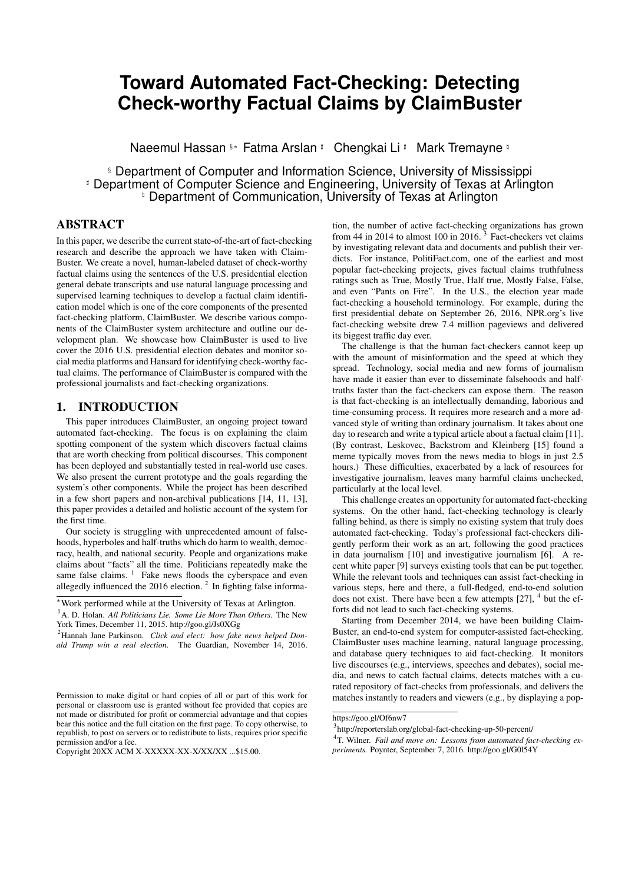|                                                                                                         | k   | P@k   | AvgP            | nDCG                                |                                                                             |
|---------------------------------------------------------------------------------------------------------|-----|-------|-----------------|-------------------------------------|-----------------------------------------------------------------------------|
|                                                                                                         | 10  | 1.000 | 1.000           | 1.000                               |                                                                             |
|                                                                                                         | 25  | 1.000 | 1.000           | 1.000                               |                                                                             |
|                                                                                                         | 50  | 0.980 | 0.995           | 0.987                               |                                                                             |
|                                                                                                         | 100 | 0.943 | 0.979           | 0.956                               |                                                                             |
|                                                                                                         | 200 | 0.916 | 0.955           | 0.931                               |                                                                             |
|                                                                                                         | 300 | 0.848 | 0.937           | 0.874                               |                                                                             |
|                                                                                                         | 400 | 0.764 | 0.915           | 0.801                               |                                                                             |
|                                                                                                         | 500 | 0.679 | 0.897           | 0.827                               |                                                                             |
| $0.06 -$<br>$0.05 -$<br>$0.04 -$<br>$0.03 -$<br>0.02<br>$0.01 -$<br>0.00<br>$\mathbf{a}^{ \mathbf{a} }$ |     |       | <b>Features</b> | ے ت                                 | think<br>P_VBG<br>million<br>N_PRPS<br>billion<br>$\geq$<br>$a_{\geq}$<br>≳ |
|                                                                                                         |     |       |                 | <b>Figure 4: Feature importance</b> |                                                                             |

nportance

Table 3: Ranking accuracy: past presidential debates

Sentiment: We used AlchemyAPI to calculate a sentiment score for each sentence. The score ranges from -1 (most negative sentiment) to 1 (most positive sentiment). The above sentence has a

sentiment score -0.846376. Length: This is the word count of a sentence. The natural language toolkit NLTK was used for tokenizing a sentence into words. The example sentence has length 21.

Word: We used words in sentences to build tf-idf features. After discarding stop-words and applying stemming, we had 6; 549 unique tokens.

Part-of-Speech (POS) Tag: We applied the NLTK POS tagger on the sentences. There are 43 POS tags in the corpus. We constructed a feature for each tag. For a sentence, the count of words belonging to a POS tag is the value of the corresponding feature. In the example sentence, there are 3 words (came, had, was) with POS tag VBD (Verb, Past Tense) and 2 words (five, trillion) with POS tag CD (Cardinal Number).

Entity Type: We used AlchemyAPI to extract entities from sentences. There are 2; 727 entities in the labeled sentences. They belong to 26 types. The above sentence has an entity "Bush" of type "Person". We constructed a feature for each entity type. For a sentence, its number of entities of a particular type is the value of the corresponding feature.

Feature Selection: There are 6:615 features in total. To identify the best discriminating features, we performed feature selection. We trained a random forest classifier for which we used GINI index to measure the importance of features in constructing each decision tree. The overall importance of a feature is its average importance over all the trees. Figure 4 shows the importance of the 30 best features in the forest. The black solid lines indicate the standard deviations of importance values. Category types are prefixes to feature names. The top features are quite intuitive. For instance, the most discriminating feature is the POS tag V BD which indicates the past form of a verb, which is often used to describe something happened in the past. The second most discriminating feature is the POS tag CD (Cardinal Number)–check-worthy factual claims are more likely to contain numeric values (45% of CFSs in our dataset) and non-factual sentences are less likely to contain numeric values (6% of NFSs in our dataset).

#### 3.4 Evaluation

We performed 3-class (NFS/UFS/CFS) classification using sev-

#### Table 4: Comparison with [22]

| subjective |  |  |
|------------|--|--|
| objective  |  |  |

Table 5: Comparison with [21]

|            | <b>NFS</b> | UFS | CES |
|------------|------------|-----|-----|
| subjective | 21         | C   |     |
| unknown    | 175        |     | 45  |
| objective  | 535        | 58  | 189 |

eral supervised learning methods, including Multinomial Naive Bayes Classifier (NBC), Support Vector Machine (SVM) and Random Forest Classifier (RFC). These methods were evaluated by 4-fold cross-validation. SVM had the best accuracy in general. We experimented with various combinations of the extracted features. Table 2 shows the performance of SVM using words and POS tag features. On the CFS class, ClaimBuster achieved 79% precision (i.e., it is accurate 79% of the time when it declares a CFS sentence) and 74% recall (i.e., 74% of true CFSs are classified as CFSs). The classification models had better accuracy on NFS and CFS than UFS. This is not surprising, since UFS is between the other two classes and thus the most ambiguous. More detailed results and analyses based on data collected by an earlier date can be found in [13].

We used SVM to rank the sentences by the method in Section 3.1. We measured the accuracy of the top-k sentences by several commonlyused measures, including Precision-at-k (P@k), AvgP (Average Precision), nDCG (Normalized Discounted Cumulative Gain). Table 3 shows these measure values for various k values. In general, Claim-Buster achieved excellent performance in ranking. For instance, for top 100 sentences, its precision is 0.96. This indicates Claim-Buster has a strong agreement with high-quality human coders on the check-worthiness of sentences.

#### 3.5 Comparison with Subjectivity Classifiers

We also compared the performance of ClaimBuster with stateof-the-art subjectivity classifiers [22, 21]. Our hypothesis was that an subjectivity classifier can be used to separate NFS from UFS and CFS. However, experiment results showed that the subjectivity classifiers failed to filter out NFS. We used the OpinionFinder <sup>16</sup> package for classification. This tool provides two subjectivity classifiers [22, 21]. The first classifier [22] tags each sentence as either subjective or objective based on a model trained on the MPQA Corpus  $^{17}$ . The second classifier [21] is a rule-based classifier. It optimizes precision at the expense of recall. That is, it classifies a sentence as subjective or objective only if it can do so with confidence. Otherwise, it labels the sentence as "unknown".

Table 4 shows the comparison between [22] and ClaimBuster. We used the 1032 screening sentences for this experiment. 574 NFS sentences were labeled as objective sentences and 44 CFS sentences were labeled as subjective sentences. This invalidates our hypothesis that a subjectivity classifier can be used to separate NFS sentences from UFS and CFS. Table 5 also shows similar comparison between ClaimBuster and [21].

# 4. CASE STUDY: 2016 U.S. PRESIDENTIAL ELECTION DEBATES

We compared ClaimBuster against the human fact-checkers at several popular fact-checking organizations. We are interested in testing the hypothesis that the claims picked by ClaimBuster are

<sup>16</sup>http://mpqa.cs.pitt.edu/opinionfinder/

<sup>17</sup>http://mpqa.cs.pitt.edu/corpora/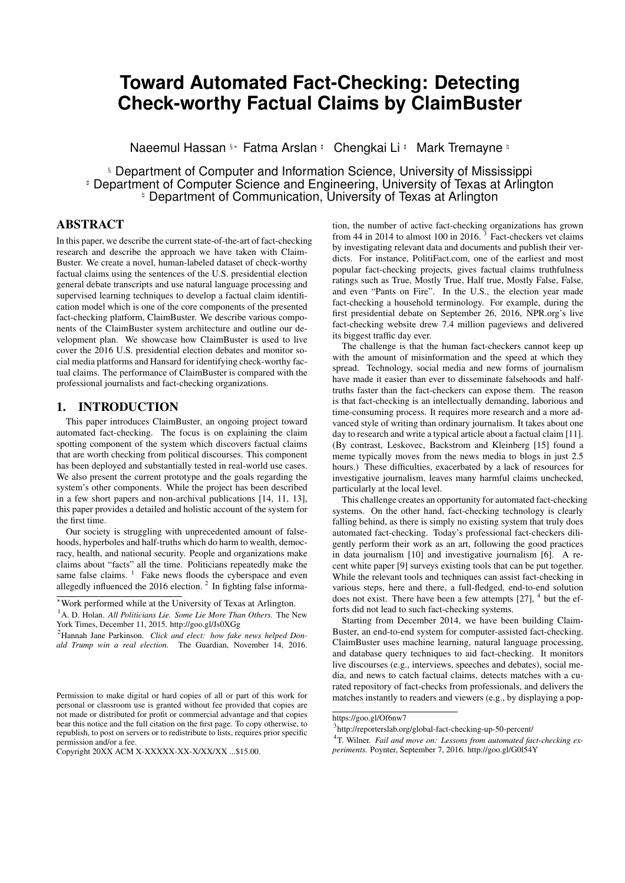

Figure 5: Distributions of ClaimBuster scores over all the sentences for both parties



Figure 6: Distributions of ClaimBuster scores over all the sentences for the major candidates

also more likely to be fact-checked by professionals. If the hypothesis is true, we can expect ClaimBuster to be effective in assisting professionals choose what to fact-check and thus helping improve their work efficiency.

## 4.1 Data Collection

There have been  $12$  Republican<sup>18</sup> and 9 Democratic primary debates in the 2016 U.S. presidential election. The debates featured as many as 11 Republican Party candidates and 5 Democratic Party candidates at the beginning, respectively. These debates took place between August, 2015 and April, 2016. We collected the transcripts of all these debates from several news media websites, including Washington Post, CNN, Times, and so on. There are a total of 30737 sentences in the 21 transcripts. We preprocessed these transcripts and identified the speaker of each sentence. Furthermore, we identified the role of the speaker. Sentences spoken by debate moderators were excluded from the study.

## 4.2 Finding Check-worthy Factual Claims

We use ClaimBuster to calculate the check-worthiness scores of the sentences and thereby identify highly check-worthy factual claims. Figure 5 shows the distributions of ClaimBuster scores on all the sentences for both political parties. The distributions for the two parties are similar. One distinction is that the distribution for the Republican Party has a higher peak and a slightly thinner right tail than the distribution for the Democratic party. There are 776 check-worthy factual claims spoken by the Republicans with ClaimBuster scores over 0:5. This is 5:06% of all the sentences spoken by the Republican candidates. From Democrat candidates, there are 484(6:73%) sentences with ClaimBuster score higher than 0:5.

Figure 6 shows the check-worthiness score distributions for the major candidates (nomination winners and runner-ups) from both parties. Among these four candidates, *Donald Trump* appears to have presented less number of highly check-worthy factual claims (ClaimBuster score 0:5) than the other three candidates. He has used more non-factual sentences (ClaimBuster score 0.3) compared to the other candidates.





Figure 7: Distribution of verdicts for each party

#### 4.3 Topic Detection

From each of the 21 debates, the 20 highest-scoring sentences were selected and manually placed in topic categories, a modified version of the most important problems (MIP) used by Gallup and other researchers for decades [18, 24, 29]. The major topics in the primary debates were: economy, crime, international affairs, immigration, health care, social issues, education, campaign finance, environment, Supreme Court, privacy and energy. Some of these topics were further broken down into subtopics. The 420 sample sentences were used to cultivate a list of keywords most often found for each of these topics. For example, the keywords for subtopic "abortion" were abortion, pregnancy and planned parenthood. Some topics had a small number of keywords, others had more than 20.

A topic-detection program is created to detect each debate sentence's topic. Provided a sentence, the program computes a score for each topic in our list based on presence of each topic's keywords in the sentence. The score is the total number of occurrences of such keywords. The sentence is assigned to the topic attaining the highest score among all the topics. However, if the highest score is lower than a threshold (two occurrences of topic keywords), the program does not assign any of the topics to the sentence. If there is a tie between two or more topics, the program uses the topic of the preceding sentence if it matches one of the tied topics. Otherwise, it randomly picks one of the tied topics.

In order to evaluate the above approach to detect topics, we created ground-truth data for one Republican debate and one Democratic debate. We only used sentences with at least 0.5 ClaimBuster score. In our ground-truth data for the Democratic debate, there are 52 sentences and 39 of them are labeled with a topic. The program detected topics for 27 of the 39 sentences and only one sentence was assigned with a incorrect topic. For the Republican debate ground-truth data, there are 62 sentences and 44 sentences are labeled with a topic. The program found topics for 30 out of the 44 sentences and 5 of these sentences were mis-classified.

We applied the topic detection program on all remaining sentences of these debates. The topics of the sentences allow us to gain better insight into the data. The results of our study which leverages the detected topics are reported in Section 4.5. The high accuracy of the topic-detection program on the ground-truth data gives us confidence on the results.

#### 4.4 Verdict Collection

We used CNN and PolitiFact as the means for comparing Claim-Buster's results. These two organizations were selected because each identifies claims they judge to be worth checking and then rates each claim on a truthfulness scale. The verdicts for CNN are

<sup>&</sup>lt;sup>18</sup>We only considered the "prime time" debates which included the more popular candidates.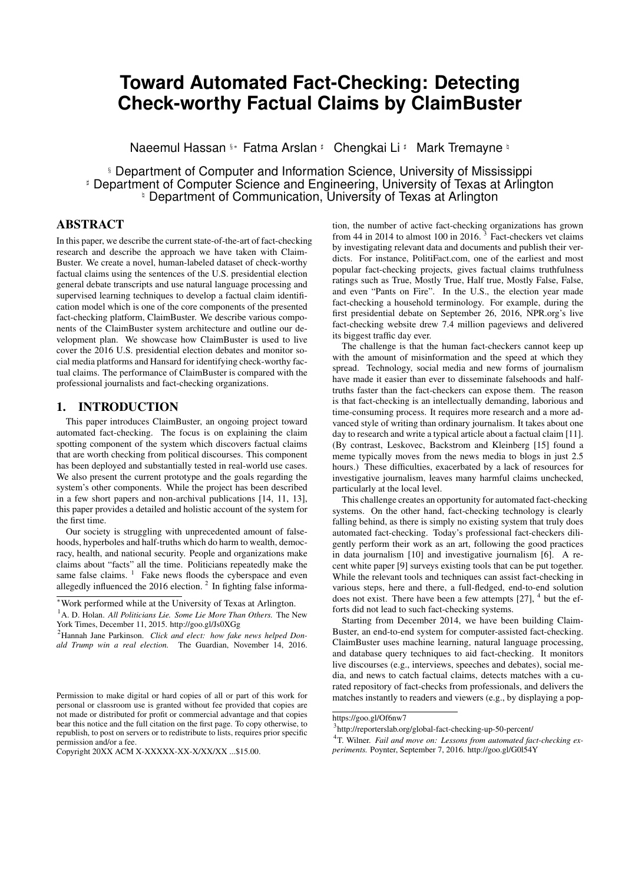

Figure 8: Distribution of verdicts for each major candidate

True, Mostly True, True but Misleading, False or It's Complicated. PolitiFact uses True, Mostly True, Half True, Mostly False, False and Pants on Fire (egregiously false). Other organizations focus on false or misleading claims only (Factcheck.org) or write about debate statements they found interesting or suspicious (Washington Post) which makes a comparison to ClaimBuster problematic.

For each of the 21 debates CNN and PolitiFact prepared a summary of the factual claims they chose to check and rendered a verdict on them. We collected all of these verdicts, 224 from CNN and 118 from PolitiFact.

Table 6 shows scores given by ClaimBuster to the claims factchecked by CNN and PolitiFact. The ClaimBuster average for sentences fact-checked by CNN is 0:433 compared to 0:258 for those sentences not selected by CNN, a statistically significant difference. Likewise, the ClaimBuster average for sentences checked by PolitiFact is 0:438 compared to 0:258 for those not selected, also a significant difference. The results of these comparisons demonstrate the utility of ClaimBuster in identifying sentences likely to contain important factual claims.

Figure 7 shows, for each party, the number of fact-checks of different veracity by CNN and PolitiFact. Figure 8 shows number of fact-checks for each major candidates. One observation is, *Donald Trump* has presented more *Pants on Fire*, *False* and *Mostly False* factual claims than other candidates according to PolitiFact. Similar observation is also evident according to CNN.

#### 4.5 Results of Case Study

With the ClaimBuster score, topic and veracity of the sentences at hand, we study the relation among these and try to find answers to questions such as which candidate presented more factual claims pertaining to a certain topic compared to others and so on.

Figure 13 shows the distribution of topics among sentences for each party. Republican candidates are more vocal about *Economy*, *International Affairs*, and *Immigration* compared to the Democrats. On the other hand, Democrats are more vocal on *Energy*, *Education*, *Social Issues* and *Health Care*. We roll down to the candidate level and try to understand the most vocal candidates on each of the topics. Figure 9 shows the topic distribution for each major candidate. Note that, to save space, we do not repeat the legends (topic names) in this and in the following figures. *Bernie Sanders* was the most vocal on *Social Issues* among the candidates. *Ted Cruz* spoke significantly more on *International Affairs* compared to other candidates.

We analyzed the check-worthiness of the sentences of each topic. Figure 11 shows the topic distribution of sentences having Claim-Buster score 0:5. This figure explains how often the candidates used factual claims while speaking about different topics. For example, both *Donald Trump* and *Bernie Sanders* presented significantly more check-worthy factual claims relating to the *Economy* compared to their debate competitors.

Figure 10 shows the topic distribution of sentences having Claim-Buster score 0:3. This figure explains how much the candidates spoke about different topics without presenting factual claims. One

#### Table 7: Performance of the U.S. politics related tweet classifier

|                         |      |      | Precision   Recall   F-measure |
|-------------------------|------|------|--------------------------------|
| U.S. Political Tweets I | 0.77 | 0.74 | 9.76                           |
| Others                  |      |      |                                |

interesting observation derived from Figures 11 and 10 is that Republican candidates spoke about *Health Care* but used fewer factual claims regarding this topic. On the other hand, Democratic candidate *Hillary Clinton* presented factual statements related to *Environment* rather than presenting non-factual, subjective statements.

Figure 14 shows the topic distributions of CNN, PolitiFact sentences as well as of highly check-worthy factual sentences (Claim-Buster score 0.5). This figure signifies that there are strong similarities between ClaimBuster and the fact-checking organizations. ClaimBuster tends to give high scores to the topics which CNN and PolitiFact tend to choose for fact checking. For example, all three have about 50 percent of the fact checks (or high Claim-Buster scores) associated with *Economy*, about 14 percent for *International Affairs*, about 10 percent for *Immigration* and 4 percent for *Crime*. One topic where ClaimBuster showed a difference with the human fact-checkers was *Social Issues*. That topic represented about 9 percent of the CNN and PolitiFact fact-checks but only about 2 percent of the highly scored ClaimBuster sentences.

#### 5. CURRENT STATUS OF CLAIMBUSTER

Sections 3 and 4 present the claim spotting component of Claim-Buster. In this section, we introduce the current prototype of other components in the system and our goals. The system is hosted at http://idir.uta.edu/claimbuster and its features are being gradually expanded. Figure 15 depicts the system architecture of Claim-Buster. It consists of several integral components, as follows.

Claim Monitor. The purpose of this component is to monitor and continuously retrieve text from a variety of sources and apply claim spotting to discover important factual claims. The data sources include news articles, social media posts, broadcast TV programs, etc. At present, we monitor the following sources. Although the claim spotting models was trained using a labled dataset of presidential debates, we find that the models achieved strong results on similar politics-related text outside of presidential debates.

*Social Media*: ClaimBuster has been continuously monitoring a list of 2220 Twitter accounts (U.S. politicians, news and media organizations) using Twitter Streaming API <sup>19</sup> and retweeting the top-scored factual claims it finds in their tweets (see @Claim-BusterTM). It filters out non politics-related tweets using an SVM classifier [1]. Table 7 shows the performance of the classifier. To this date, @ClaimBusterTM has detected about 130K check-worthy factual claims posted by the above mentioned accounts.

*Broadcast Media*: ClaimBuster processes video signals of broadcasted TV programs, identifies the check-worthy factual claims, and presents such information. For example, in covering the 2016 U.S. presidential debates, closed captions of the debates on live TV broadcasts, captured by a decoding device, were fed to Claim-Buster, which immediately scored each sentence spoken by the candidates and posted the sentences and their scores to the project's website. The top-scored claims (i.e., check-worthy factual claims) were also posted to the project's Twitter account. Figure 16 shows the coverage of one of the primary debates. Sentences in the transcript are highlighted in different shades of blue proportional to their check-worthiness scores. The platform allows a user to order the sentences by time or by score and to use a slider to specify the minimum score for sentences to be highlighted. It also provides

<sup>&</sup>lt;sup>19</sup> dev.twitter.com/streaming/overview